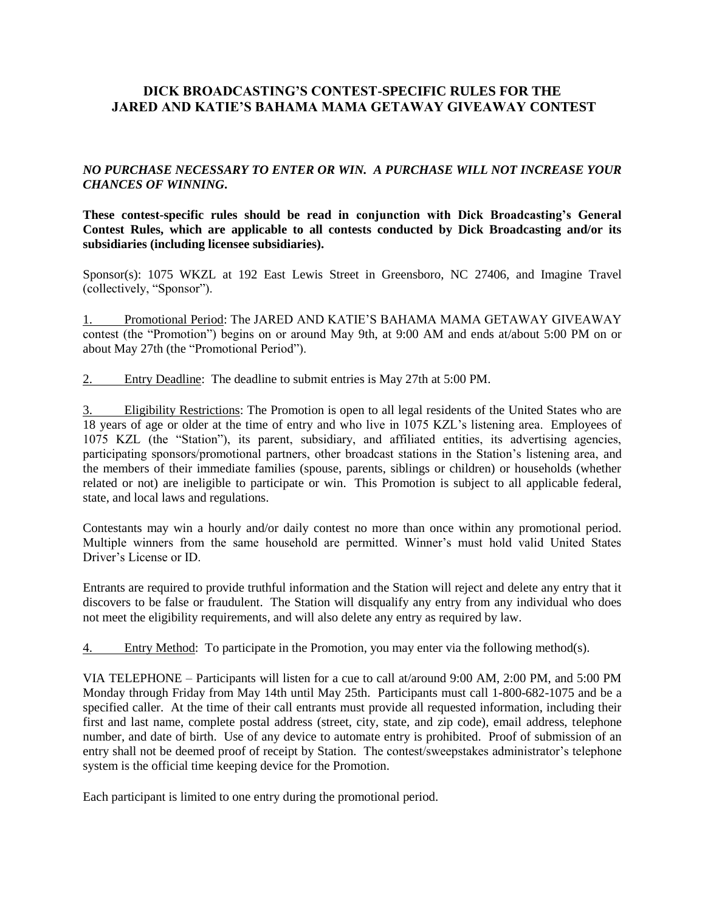# **DICK BROADCASTING'S CONTEST-SPECIFIC RULES FOR THE JARED AND KATIE'S BAHAMA MAMA GETAWAY GIVEAWAY CONTEST**

## *NO PURCHASE NECESSARY TO ENTER OR WIN. A PURCHASE WILL NOT INCREASE YOUR CHANCES OF WINNING***.**

**These contest-specific rules should be read in conjunction with Dick Broadcasting's General Contest Rules, which are applicable to all contests conducted by Dick Broadcasting and/or its subsidiaries (including licensee subsidiaries).** 

Sponsor(s): 1075 WKZL at 192 East Lewis Street in Greensboro, NC 27406, and Imagine Travel (collectively, "Sponsor").

1. Promotional Period: The JARED AND KATIE'S BAHAMA MAMA GETAWAY GIVEAWAY contest (the "Promotion") begins on or around May 9th, at 9:00 AM and ends at/about 5:00 PM on or about May 27th (the "Promotional Period").

2. Entry Deadline: The deadline to submit entries is May 27th at 5:00 PM.

3. Eligibility Restrictions: The Promotion is open to all legal residents of the United States who are 18 years of age or older at the time of entry and who live in 1075 KZL's listening area. Employees of 1075 KZL (the "Station"), its parent, subsidiary, and affiliated entities, its advertising agencies, participating sponsors/promotional partners, other broadcast stations in the Station's listening area, and the members of their immediate families (spouse, parents, siblings or children) or households (whether related or not) are ineligible to participate or win. This Promotion is subject to all applicable federal, state, and local laws and regulations.

Contestants may win a hourly and/or daily contest no more than once within any promotional period. Multiple winners from the same household are permitted. Winner's must hold valid United States Driver's License or ID.

Entrants are required to provide truthful information and the Station will reject and delete any entry that it discovers to be false or fraudulent. The Station will disqualify any entry from any individual who does not meet the eligibility requirements, and will also delete any entry as required by law.

4. Entry Method: To participate in the Promotion, you may enter via the following method(s).

VIA TELEPHONE – Participants will listen for a cue to call at/around 9:00 AM, 2:00 PM, and 5:00 PM Monday through Friday from May 14th until May 25th. Participants must call 1-800-682-1075 and be a specified caller. At the time of their call entrants must provide all requested information, including their first and last name, complete postal address (street, city, state, and zip code), email address, telephone number, and date of birth. Use of any device to automate entry is prohibited. Proof of submission of an entry shall not be deemed proof of receipt by Station. The contest/sweepstakes administrator's telephone system is the official time keeping device for the Promotion.

Each participant is limited to one entry during the promotional period.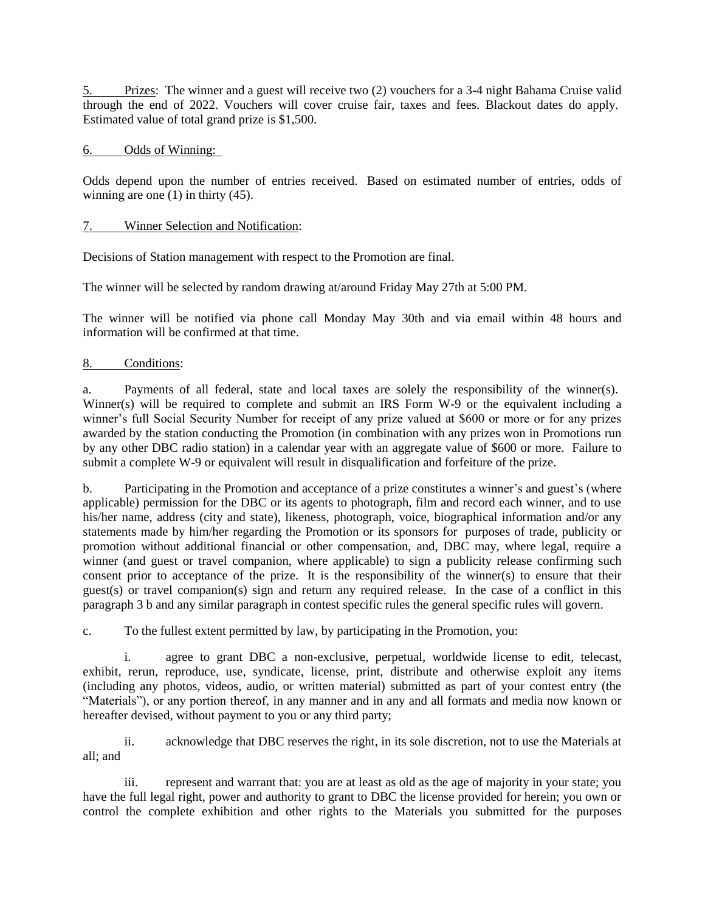5. Prizes: The winner and a guest will receive two (2) vouchers for a 3-4 night Bahama Cruise valid through the end of 2022. Vouchers will cover cruise fair, taxes and fees. Blackout dates do apply. Estimated value of total grand prize is \$1,500.

## 6. Odds of Winning:

Odds depend upon the number of entries received. Based on estimated number of entries, odds of winning are one (1) in thirty (45).

## 7. Winner Selection and Notification:

Decisions of Station management with respect to the Promotion are final.

The winner will be selected by random drawing at/around Friday May 27th at 5:00 PM.

The winner will be notified via phone call Monday May 30th and via email within 48 hours and information will be confirmed at that time.

#### 8. Conditions:

a. Payments of all federal, state and local taxes are solely the responsibility of the winner(s). Winner(s) will be required to complete and submit an IRS Form W-9 or the equivalent including a winner's full Social Security Number for receipt of any prize valued at \$600 or more or for any prizes awarded by the station conducting the Promotion (in combination with any prizes won in Promotions run by any other DBC radio station) in a calendar year with an aggregate value of \$600 or more. Failure to submit a complete W-9 or equivalent will result in disqualification and forfeiture of the prize.

b. Participating in the Promotion and acceptance of a prize constitutes a winner's and guest's (where applicable) permission for the DBC or its agents to photograph, film and record each winner, and to use his/her name, address (city and state), likeness, photograph, voice, biographical information and/or any statements made by him/her regarding the Promotion or its sponsors for purposes of trade, publicity or promotion without additional financial or other compensation, and, DBC may, where legal, require a winner (and guest or travel companion, where applicable) to sign a publicity release confirming such consent prior to acceptance of the prize. It is the responsibility of the winner(s) to ensure that their guest(s) or travel companion(s) sign and return any required release. In the case of a conflict in this paragraph 3 b and any similar paragraph in contest specific rules the general specific rules will govern.

c. To the fullest extent permitted by law, by participating in the Promotion, you:

i. agree to grant DBC a non-exclusive, perpetual, worldwide license to edit, telecast, exhibit, rerun, reproduce, use, syndicate, license, print, distribute and otherwise exploit any items (including any photos, videos, audio, or written material) submitted as part of your contest entry (the "Materials"), or any portion thereof, in any manner and in any and all formats and media now known or hereafter devised, without payment to you or any third party;

ii. acknowledge that DBC reserves the right, in its sole discretion, not to use the Materials at all; and

iii. represent and warrant that: you are at least as old as the age of majority in your state; you have the full legal right, power and authority to grant to DBC the license provided for herein; you own or control the complete exhibition and other rights to the Materials you submitted for the purposes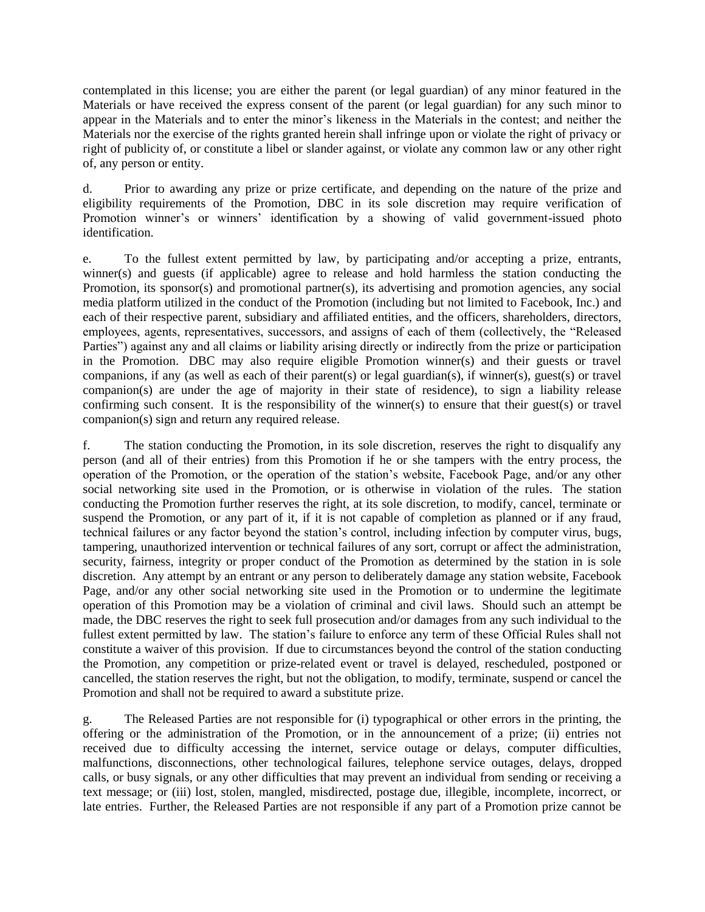contemplated in this license; you are either the parent (or legal guardian) of any minor featured in the Materials or have received the express consent of the parent (or legal guardian) for any such minor to appear in the Materials and to enter the minor's likeness in the Materials in the contest; and neither the Materials nor the exercise of the rights granted herein shall infringe upon or violate the right of privacy or right of publicity of, or constitute a libel or slander against, or violate any common law or any other right of, any person or entity.

d. Prior to awarding any prize or prize certificate, and depending on the nature of the prize and eligibility requirements of the Promotion, DBC in its sole discretion may require verification of Promotion winner's or winners' identification by a showing of valid government-issued photo identification.

e. To the fullest extent permitted by law, by participating and/or accepting a prize, entrants, winner(s) and guests (if applicable) agree to release and hold harmless the station conducting the Promotion, its sponsor(s) and promotional partner(s), its advertising and promotion agencies, any social media platform utilized in the conduct of the Promotion (including but not limited to Facebook, Inc.) and each of their respective parent, subsidiary and affiliated entities, and the officers, shareholders, directors, employees, agents, representatives, successors, and assigns of each of them (collectively, the "Released Parties") against any and all claims or liability arising directly or indirectly from the prize or participation in the Promotion. DBC may also require eligible Promotion winner(s) and their guests or travel companions, if any (as well as each of their parent(s) or legal guardian(s), if winner(s), guest(s) or travel companion(s) are under the age of majority in their state of residence), to sign a liability release confirming such consent. It is the responsibility of the winner(s) to ensure that their guest(s) or travel companion(s) sign and return any required release.

f. The station conducting the Promotion, in its sole discretion, reserves the right to disqualify any person (and all of their entries) from this Promotion if he or she tampers with the entry process, the operation of the Promotion, or the operation of the station's website, Facebook Page, and/or any other social networking site used in the Promotion, or is otherwise in violation of the rules. The station conducting the Promotion further reserves the right, at its sole discretion, to modify, cancel, terminate or suspend the Promotion, or any part of it, if it is not capable of completion as planned or if any fraud, technical failures or any factor beyond the station's control, including infection by computer virus, bugs, tampering, unauthorized intervention or technical failures of any sort, corrupt or affect the administration, security, fairness, integrity or proper conduct of the Promotion as determined by the station in is sole discretion. Any attempt by an entrant or any person to deliberately damage any station website, Facebook Page, and/or any other social networking site used in the Promotion or to undermine the legitimate operation of this Promotion may be a violation of criminal and civil laws. Should such an attempt be made, the DBC reserves the right to seek full prosecution and/or damages from any such individual to the fullest extent permitted by law. The station's failure to enforce any term of these Official Rules shall not constitute a waiver of this provision. If due to circumstances beyond the control of the station conducting the Promotion, any competition or prize-related event or travel is delayed, rescheduled, postponed or cancelled, the station reserves the right, but not the obligation, to modify, terminate, suspend or cancel the Promotion and shall not be required to award a substitute prize.

g. The Released Parties are not responsible for (i) typographical or other errors in the printing, the offering or the administration of the Promotion, or in the announcement of a prize; (ii) entries not received due to difficulty accessing the internet, service outage or delays, computer difficulties, malfunctions, disconnections, other technological failures, telephone service outages, delays, dropped calls, or busy signals, or any other difficulties that may prevent an individual from sending or receiving a text message; or (iii) lost, stolen, mangled, misdirected, postage due, illegible, incomplete, incorrect, or late entries. Further, the Released Parties are not responsible if any part of a Promotion prize cannot be